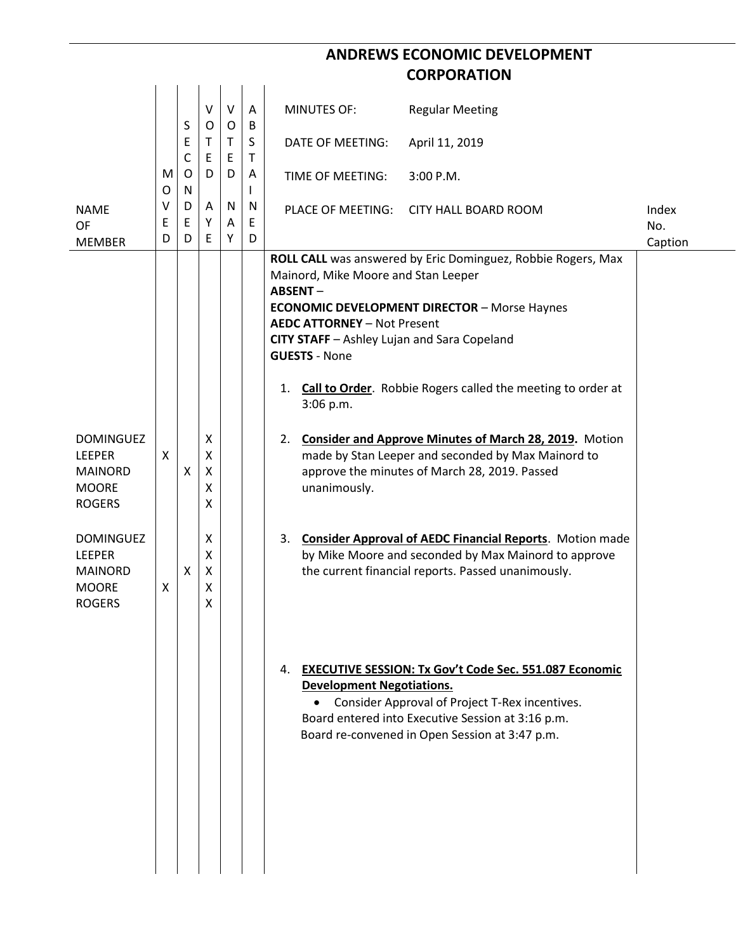## **ANDREWS ECONOMIC DEVELOPMENT CORPORATION**

|                                                                                      |             |             | V                     | $\vee$<br>$\mathsf{O}$ | A                 | <b>MINUTES OF:</b><br><b>Regular Meeting</b>                                                                                                                                                                                                                                                                                                                                |                         |
|--------------------------------------------------------------------------------------|-------------|-------------|-----------------------|------------------------|-------------------|-----------------------------------------------------------------------------------------------------------------------------------------------------------------------------------------------------------------------------------------------------------------------------------------------------------------------------------------------------------------------------|-------------------------|
|                                                                                      |             | S<br>Е<br>C | O<br>Т<br>E           | T.<br>E                | B<br>S<br>T       | DATE OF MEETING:<br>April 11, 2019                                                                                                                                                                                                                                                                                                                                          |                         |
|                                                                                      | M<br>O      | O<br>N      | D                     | D                      | A<br>$\mathbf{I}$ | 3:00 P.M.<br>TIME OF MEETING:                                                                                                                                                                                                                                                                                                                                               |                         |
| <b>NAME</b><br><b>OF</b><br><b>MEMBER</b>                                            | v<br>E<br>D | D<br>Ε<br>D | A<br>Υ<br>E           | N<br>Α<br>Y            | N<br>E<br>D       | PLACE OF MEETING:<br><b>CITY HALL BOARD ROOM</b>                                                                                                                                                                                                                                                                                                                            | Index<br>No.<br>Caption |
|                                                                                      |             |             |                       |                        |                   | ROLL CALL was answered by Eric Dominguez, Robbie Rogers, Max<br>Mainord, Mike Moore and Stan Leeper<br><b>ABSENT-</b><br><b>ECONOMIC DEVELOPMENT DIRECTOR - Morse Haynes</b><br><b>AEDC ATTORNEY - Not Present</b><br>CITY STAFF - Ashley Lujan and Sara Copeland<br><b>GUESTS - None</b><br>Call to Order. Robbie Rogers called the meeting to order at<br>1.<br>3:06 p.m. |                         |
| <b>DOMINGUEZ</b><br><b>LEEPER</b><br><b>MAINORD</b><br><b>MOORE</b><br><b>ROGERS</b> | X           | X           | X<br>X<br>Χ<br>Χ<br>X |                        |                   | 2. Consider and Approve Minutes of March 28, 2019. Motion<br>made by Stan Leeper and seconded by Max Mainord to<br>approve the minutes of March 28, 2019. Passed<br>unanimously.                                                                                                                                                                                            |                         |
| <b>DOMINGUEZ</b><br><b>LEEPER</b><br><b>MAINORD</b><br><b>MOORE</b><br><b>ROGERS</b> | X           | X           | X<br>X<br>X<br>X<br>х |                        |                   | <b>Consider Approval of AEDC Financial Reports.</b> Motion made<br>3.<br>by Mike Moore and seconded by Max Mainord to approve<br>the current financial reports. Passed unanimously.                                                                                                                                                                                         |                         |
|                                                                                      |             |             |                       |                        |                   | <b>EXECUTIVE SESSION: Tx Gov't Code Sec. 551.087 Economic</b><br>4.<br><b>Development Negotiations.</b><br>Consider Approval of Project T-Rex incentives.<br>Board entered into Executive Session at 3:16 p.m.<br>Board re-convened in Open Session at 3:47 p.m.                                                                                                            |                         |